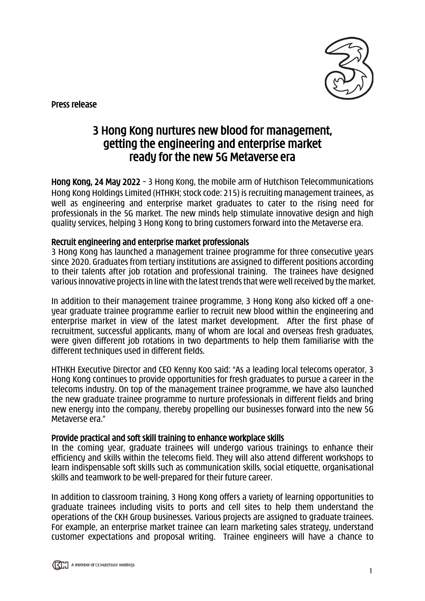

Press release

# 3 Hong Kong nurtures new blood for management, getting the engineering and enterprise market ready for the new 5G Metaverse era

Hong Kong, 24 May 2022 – 3 Hong Kong, the mobile arm of Hutchison Telecommunications Hong Kong Holdings Limited (HTHKH; stock code: 215) is recruiting management trainees, as well as engineering and enterprise market graduates to cater to the rising need for professionals in the 5G market. The new minds help stimulate innovative design and high quality services, helping 3 Hong Kong to bring customers forward into the Metaverse era.

## Recruit engineering and enterprise market professionals

3 Hong Kong has launched a management trainee programme for three consecutive years since 2020. Graduates from tertiary institutions are assigned to different positions according to their talents after job rotation and professional training. The trainees have designed various innovative projects in line with the latest trendsthat were well received by the market.

In addition to their management trainee programme, 3 Hong Kong also kicked off a oneyear graduate trainee programme earlier to recruit new blood within the engineering and enterprise market in view of the latest market development. After the first phase of recruitment, successful applicants, many of whom are local and overseas fresh graduates, were given different job rotations in two departments to help them familiarise with the different techniques used in different fields.

HTHKH Executive Director and CEO Kenny Koo said: "As a leading local telecoms operator, 3 Hong Kong continues to provide opportunities for fresh graduates to pursue a career in the telecoms industry. On top of the management trainee programme, we have also launched the new graduate trainee programme to nurture professionals in different fields and bring new energy into the company, thereby propelling our businesses forward into the new 5G Metaverse era."

### Provide practical and soft skill training to enhance workplace skills

In the coming year, graduate trainees will undergo various trainings to enhance their efficiency and skills within the telecoms field. They will also attend different workshops to learn indispensable soft skills such as communication skills, social etiquette, organisational skills and teamwork to be well-prepared for their future career.

In addition to classroom training, 3 Hong Kong offers a variety of learning opportunities to graduate trainees including visits to ports and cell sites to help them understand the operations of the CKH Group businesses. Various projects are assigned to graduate trainees. For example, an enterprise market trainee can learn marketing sales strategy, understand customer expectations and proposal writing. Trainee engineers will have a chance to